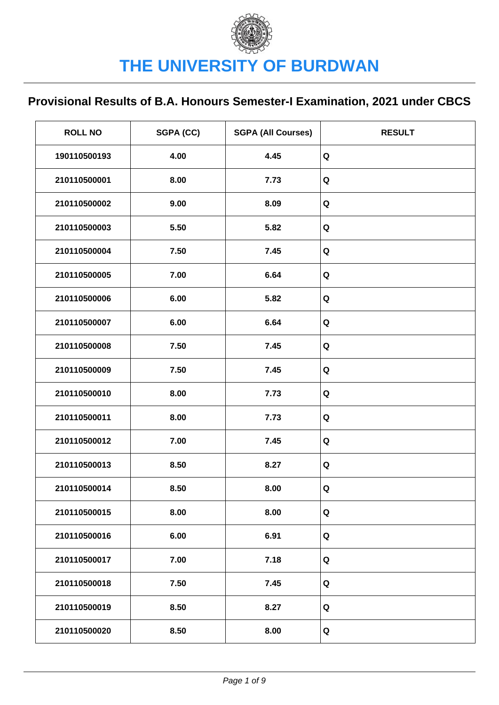| <b>ROLL NO</b> | SGPA (CC) | <b>SGPA (All Courses)</b> | <b>RESULT</b> |
|----------------|-----------|---------------------------|---------------|
| 190110500193   | 4.00      | 4.45                      | Q             |
| 210110500001   | 8.00      | 7.73                      | Q             |
| 210110500002   | 9.00      | 8.09                      | $\mathbf Q$   |
| 210110500003   | 5.50      | 5.82                      | Q             |
| 210110500004   | 7.50      | 7.45                      | Q             |
| 210110500005   | 7.00      | 6.64                      | Q             |
| 210110500006   | 6.00      | 5.82                      | Q             |
| 210110500007   | 6.00      | 6.64                      | Q             |
| 210110500008   | 7.50      | 7.45                      | Q             |
| 210110500009   | 7.50      | 7.45                      | Q             |
| 210110500010   | 8.00      | 7.73                      | Q             |
| 210110500011   | 8.00      | 7.73                      | Q             |
| 210110500012   | 7.00      | 7.45                      | Q             |
| 210110500013   | 8.50      | 8.27                      | Q             |
| 210110500014   | 8.50      | 8.00                      | Q             |
| 210110500015   | 8.00      | 8.00                      | Q             |
| 210110500016   | 6.00      | 6.91                      | Q             |
| 210110500017   | 7.00      | 7.18                      | Q             |
| 210110500018   | 7.50      | 7.45                      | Q             |
| 210110500019   | 8.50      | 8.27                      | Q             |
| 210110500020   | 8.50      | 8.00                      | Q             |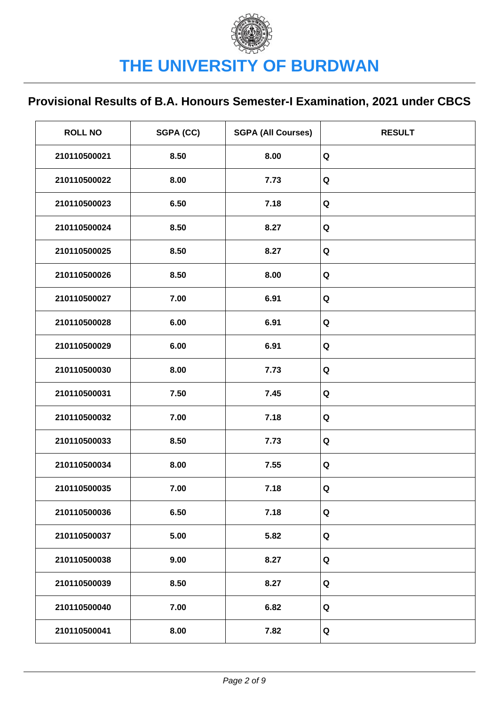| <b>ROLL NO</b> | SGPA (CC) | <b>SGPA (All Courses)</b> | <b>RESULT</b> |
|----------------|-----------|---------------------------|---------------|
| 210110500021   | 8.50      | 8.00                      | Q             |
| 210110500022   | 8.00      | 7.73                      | $\mathbf Q$   |
| 210110500023   | 6.50      | 7.18                      | Q             |
| 210110500024   | 8.50      | 8.27                      | Q             |
| 210110500025   | 8.50      | 8.27                      | Q             |
| 210110500026   | 8.50      | 8.00                      | Q             |
| 210110500027   | 7.00      | 6.91                      | Q             |
| 210110500028   | 6.00      | 6.91                      | Q             |
| 210110500029   | 6.00      | 6.91                      | Q             |
| 210110500030   | 8.00      | 7.73                      | Q             |
| 210110500031   | 7.50      | 7.45                      | Q             |
| 210110500032   | 7.00      | 7.18                      | Q             |
| 210110500033   | 8.50      | 7.73                      | Q             |
| 210110500034   | 8.00      | 7.55                      | Q             |
| 210110500035   | 7.00      | 7.18                      | $\mathbf Q$   |
| 210110500036   | 6.50      | 7.18                      | Q             |
| 210110500037   | 5.00      | 5.82                      | Q             |
| 210110500038   | 9.00      | 8.27                      | Q             |
| 210110500039   | 8.50      | 8.27                      | Q             |
| 210110500040   | 7.00      | 6.82                      | Q             |
| 210110500041   | 8.00      | 7.82                      | Q             |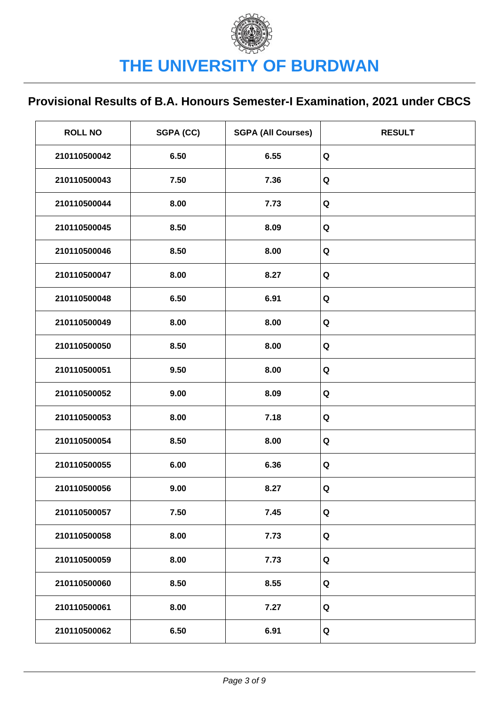| <b>ROLL NO</b> | SGPA (CC) | <b>SGPA (All Courses)</b> | <b>RESULT</b> |
|----------------|-----------|---------------------------|---------------|
| 210110500042   | 6.50      | 6.55                      | Q             |
| 210110500043   | 7.50      | 7.36                      | $\mathbf Q$   |
| 210110500044   | 8.00      | 7.73                      | $\mathbf Q$   |
| 210110500045   | 8.50      | 8.09                      | Q             |
| 210110500046   | 8.50      | 8.00                      | Q             |
| 210110500047   | 8.00      | 8.27                      | Q             |
| 210110500048   | 6.50      | 6.91                      | Q             |
| 210110500049   | 8.00      | 8.00                      | Q             |
| 210110500050   | 8.50      | 8.00                      | Q             |
| 210110500051   | 9.50      | 8.00                      | Q             |
| 210110500052   | 9.00      | 8.09                      | Q             |
| 210110500053   | 8.00      | 7.18                      | Q             |
| 210110500054   | 8.50      | 8.00                      | Q             |
| 210110500055   | 6.00      | 6.36                      | Q             |
| 210110500056   | 9.00      | 8.27                      | Q             |
| 210110500057   | 7.50      | 7.45                      | Q             |
| 210110500058   | 8.00      | 7.73                      | Q             |
| 210110500059   | 8.00      | 7.73                      | Q             |
| 210110500060   | 8.50      | 8.55                      | Q             |
| 210110500061   | 8.00      | 7.27                      | Q             |
| 210110500062   | 6.50      | 6.91                      | Q             |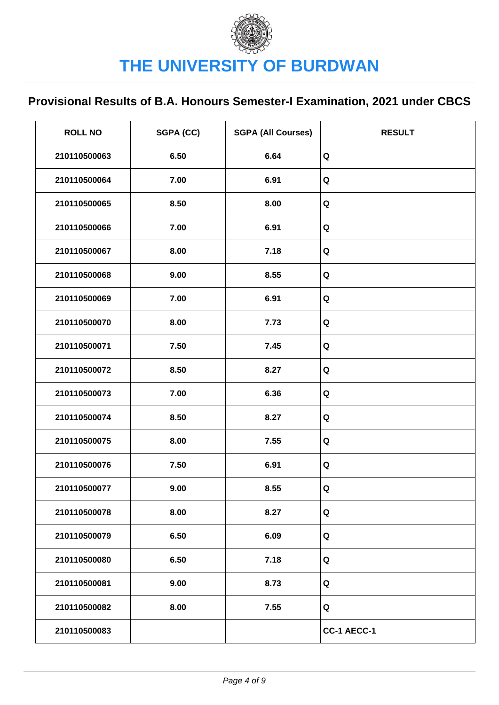| <b>ROLL NO</b> | SGPA (CC) | <b>SGPA (All Courses)</b> | <b>RESULT</b> |
|----------------|-----------|---------------------------|---------------|
| 210110500063   | 6.50      | 6.64                      | Q             |
| 210110500064   | 7.00      | 6.91                      | $\mathbf Q$   |
| 210110500065   | 8.50      | 8.00                      | Q             |
| 210110500066   | 7.00      | 6.91                      | Q             |
| 210110500067   | 8.00      | 7.18                      | Q             |
| 210110500068   | 9.00      | 8.55                      | Q             |
| 210110500069   | 7.00      | 6.91                      | Q             |
| 210110500070   | 8.00      | 7.73                      | Q             |
| 210110500071   | 7.50      | 7.45                      | Q             |
| 210110500072   | 8.50      | 8.27                      | Q             |
| 210110500073   | 7.00      | 6.36                      | Q             |
| 210110500074   | 8.50      | 8.27                      | Q             |
| 210110500075   | 8.00      | 7.55                      | Q             |
| 210110500076   | 7.50      | 6.91                      | Q             |
| 210110500077   | 9.00      | 8.55                      | $\mathbf Q$   |
| 210110500078   | 8.00      | 8.27                      | Q             |
| 210110500079   | 6.50      | 6.09                      | Q             |
| 210110500080   | 6.50      | 7.18                      | Q             |
| 210110500081   | 9.00      | 8.73                      | Q             |
| 210110500082   | 8.00      | 7.55                      | Q             |
| 210110500083   |           |                           | CC-1 AECC-1   |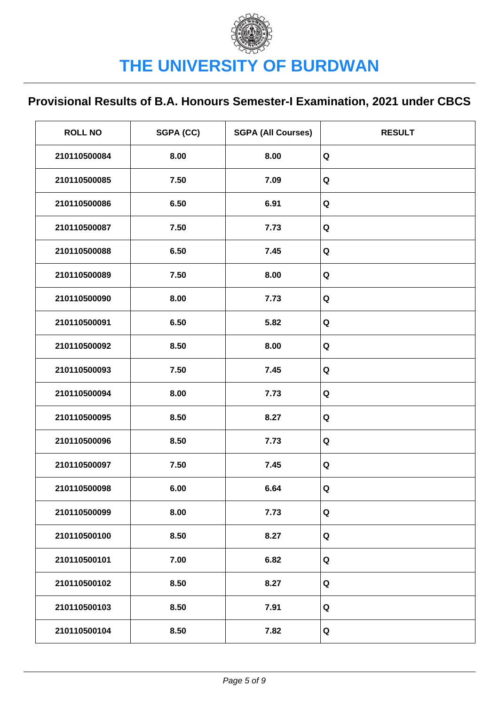| <b>ROLL NO</b> | SGPA (CC) | <b>SGPA (All Courses)</b> | <b>RESULT</b> |
|----------------|-----------|---------------------------|---------------|
| 210110500084   | 8.00      | 8.00                      | $\mathbf Q$   |
| 210110500085   | 7.50      | 7.09                      | Q             |
| 210110500086   | 6.50      | 6.91                      | $\mathbf Q$   |
| 210110500087   | 7.50      | 7.73                      | Q             |
| 210110500088   | 6.50      | 7.45                      | Q             |
| 210110500089   | 7.50      | 8.00                      | Q             |
| 210110500090   | 8.00      | 7.73                      | Q             |
| 210110500091   | 6.50      | 5.82                      | Q             |
| 210110500092   | 8.50      | 8.00                      | Q             |
| 210110500093   | 7.50      | 7.45                      | Q             |
| 210110500094   | 8.00      | 7.73                      | Q             |
| 210110500095   | 8.50      | 8.27                      | Q             |
| 210110500096   | 8.50      | 7.73                      | Q             |
| 210110500097   | 7.50      | 7.45                      | Q             |
| 210110500098   | 6.00      | 6.64                      | Q             |
| 210110500099   | 8.00      | 7.73                      | Q             |
| 210110500100   | 8.50      | 8.27                      | Q             |
| 210110500101   | 7.00      | 6.82                      | Q             |
| 210110500102   | 8.50      | 8.27                      | Q             |
| 210110500103   | 8.50      | 7.91                      | Q             |
| 210110500104   | 8.50      | 7.82                      | Q             |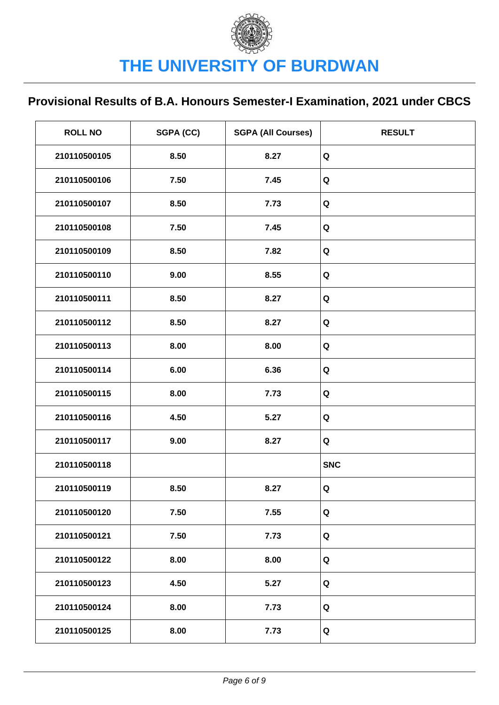| <b>ROLL NO</b> | SGPA (CC) | <b>SGPA (All Courses)</b> | <b>RESULT</b> |
|----------------|-----------|---------------------------|---------------|
| 210110500105   | 8.50      | 8.27                      | Q             |
| 210110500106   | 7.50      | 7.45                      | Q             |
| 210110500107   | 8.50      | 7.73                      | Q             |
| 210110500108   | 7.50      | 7.45                      | Q             |
| 210110500109   | 8.50      | 7.82                      | Q             |
| 210110500110   | 9.00      | 8.55                      | Q             |
| 210110500111   | 8.50      | 8.27                      | Q             |
| 210110500112   | 8.50      | 8.27                      | Q             |
| 210110500113   | 8.00      | 8.00                      | Q             |
| 210110500114   | 6.00      | 6.36                      | Q             |
| 210110500115   | 8.00      | 7.73                      | Q             |
| 210110500116   | 4.50      | 5.27                      | Q             |
| 210110500117   | 9.00      | 8.27                      | Q             |
| 210110500118   |           |                           | <b>SNC</b>    |
| 210110500119   | 8.50      | 8.27                      | Q             |
| 210110500120   | 7.50      | 7.55                      | Q             |
| 210110500121   | 7.50      | 7.73                      | Q             |
| 210110500122   | 8.00      | 8.00                      | Q             |
| 210110500123   | 4.50      | 5.27                      | Q             |
| 210110500124   | 8.00      | 7.73                      | Q             |
| 210110500125   | 8.00      | 7.73                      | Q             |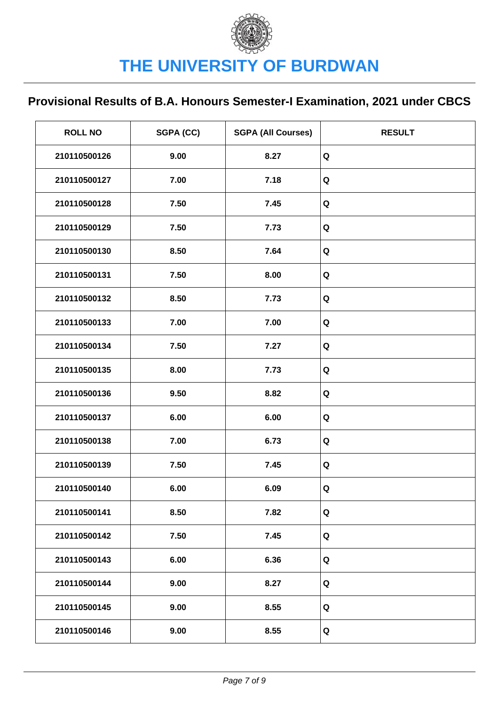| <b>ROLL NO</b> | SGPA (CC) | <b>SGPA (All Courses)</b> | <b>RESULT</b> |
|----------------|-----------|---------------------------|---------------|
| 210110500126   | 9.00      | 8.27                      | Q             |
| 210110500127   | 7.00      | 7.18                      | Q             |
| 210110500128   | 7.50      | 7.45                      | Q             |
| 210110500129   | 7.50      | 7.73                      | Q             |
| 210110500130   | 8.50      | 7.64                      | Q             |
| 210110500131   | 7.50      | 8.00                      | Q             |
| 210110500132   | 8.50      | 7.73                      | Q             |
| 210110500133   | 7.00      | 7.00                      | Q             |
| 210110500134   | 7.50      | 7.27                      | Q             |
| 210110500135   | 8.00      | 7.73                      | Q             |
| 210110500136   | 9.50      | 8.82                      | Q             |
| 210110500137   | 6.00      | 6.00                      | Q             |
| 210110500138   | 7.00      | 6.73                      | Q             |
| 210110500139   | 7.50      | 7.45                      | Q             |
| 210110500140   | 6.00      | 6.09                      | Q             |
| 210110500141   | 8.50      | 7.82                      | Q             |
| 210110500142   | 7.50      | 7.45                      | Q             |
| 210110500143   | 6.00      | 6.36                      | Q             |
| 210110500144   | 9.00      | 8.27                      | Q             |
| 210110500145   | 9.00      | 8.55                      | Q             |
| 210110500146   | 9.00      | 8.55                      | Q             |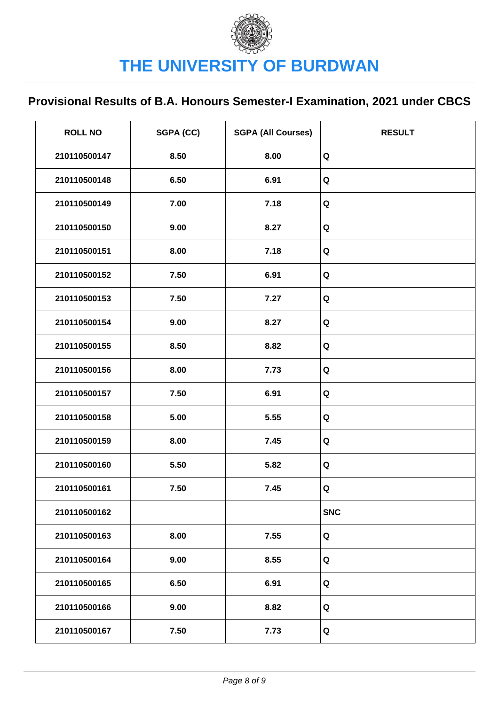| <b>ROLL NO</b> | SGPA (CC) | <b>SGPA (All Courses)</b> | <b>RESULT</b> |
|----------------|-----------|---------------------------|---------------|
| 210110500147   | 8.50      | 8.00                      | Q             |
| 210110500148   | 6.50      | 6.91                      | Q             |
| 210110500149   | 7.00      | 7.18                      | Q             |
| 210110500150   | 9.00      | 8.27                      | Q             |
| 210110500151   | 8.00      | 7.18                      | Q             |
| 210110500152   | 7.50      | 6.91                      | Q             |
| 210110500153   | 7.50      | 7.27                      | Q             |
| 210110500154   | 9.00      | 8.27                      | Q             |
| 210110500155   | 8.50      | 8.82                      | Q             |
| 210110500156   | 8.00      | 7.73                      | Q             |
| 210110500157   | 7.50      | 6.91                      | Q             |
| 210110500158   | 5.00      | 5.55                      | Q             |
| 210110500159   | 8.00      | 7.45                      | Q             |
| 210110500160   | 5.50      | 5.82                      | Q             |
| 210110500161   | 7.50      | 7.45                      | Q             |
| 210110500162   |           |                           | <b>SNC</b>    |
| 210110500163   | 8.00      | 7.55                      | Q             |
| 210110500164   | 9.00      | 8.55                      | Q             |
| 210110500165   | 6.50      | 6.91                      | Q             |
| 210110500166   | 9.00      | 8.82                      | Q             |
| 210110500167   | 7.50      | 7.73                      | Q             |